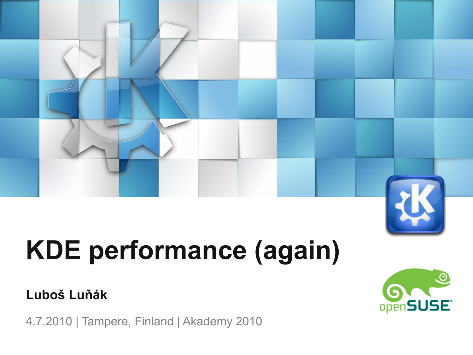

# **KDE performance (again)**

### **Luboš Luňák**

4.7.2010 | Tampere, Finland | Akademy 2010

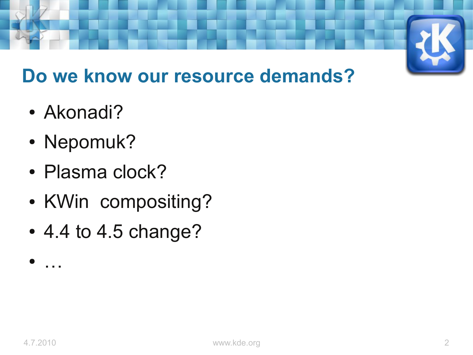

### **Do we know our resource demands?**

- Akonadi?
- Nepomuk?
- Plasma clock?
- KWin compositing?
- 4.4 to 4.5 change?

● …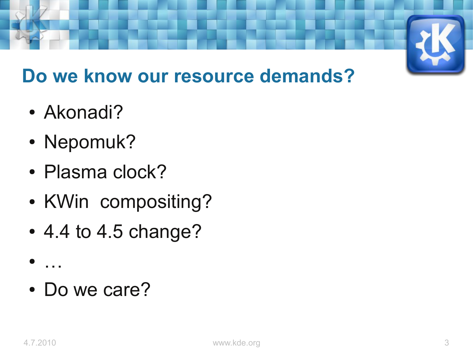

### **Do we know our resource demands?**

- Akonadi?
- Nepomuk?
- Plasma clock?
- KWin compositing?
- 4.4 to 4.5 change?
- …
- Do we care?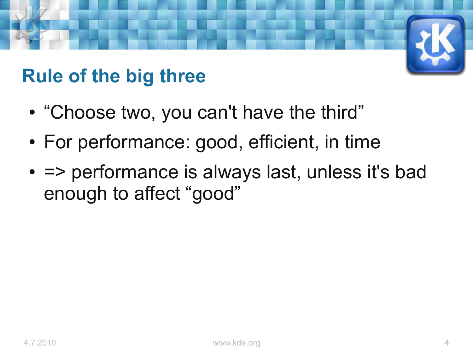### **Rule of the big three**

- "Choose two, you can't have the third"
- For performance: good, efficient, in time
- = > performance is always last, unless it's bad enough to affect "good"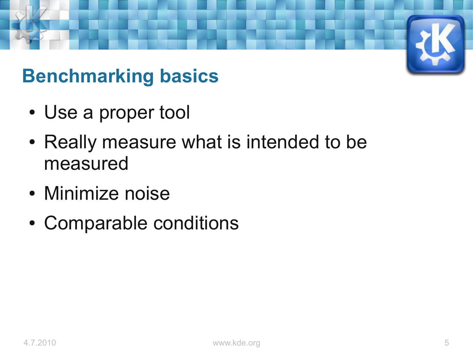### **Benchmarking basics**

- Use a proper tool
- Really measure what is intended to be measured
- Minimize noise
- Comparable conditions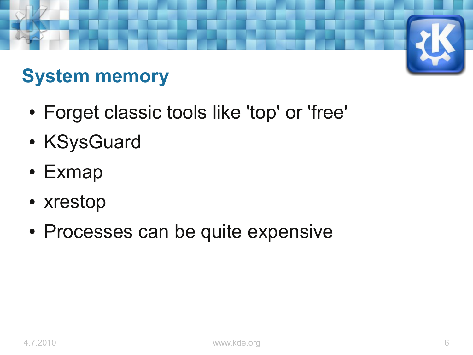## **System memory**

- Forget classic tools like 'top' or 'free'
- KSysGuard
- Exmap
- xrestop
- Processes can be quite expensive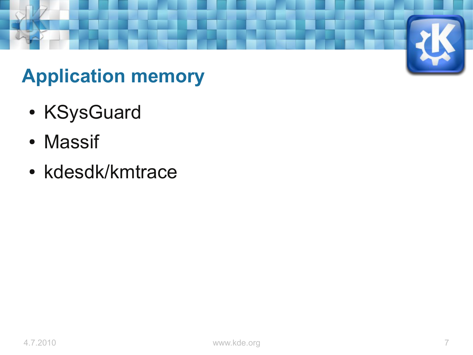### **Application memory**

- KSysGuard
- Massif
- kdesdk/kmtrace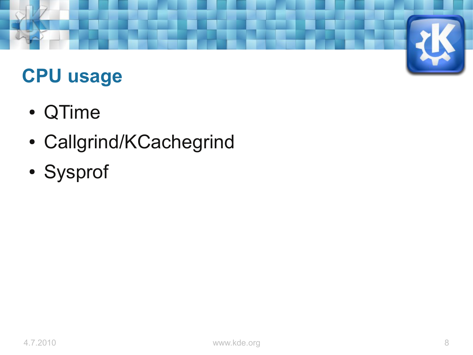

### **CPU usage**

- QTime
- Callgrind/KCachegrind
- Sysprof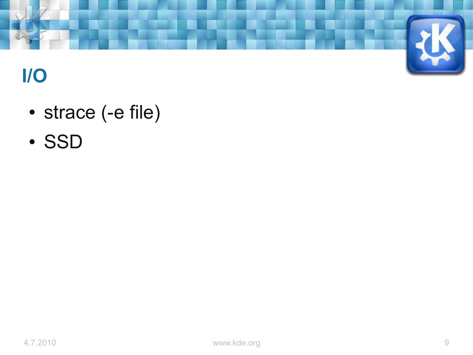

### **I/O**

- strace (-e file)
- SSD